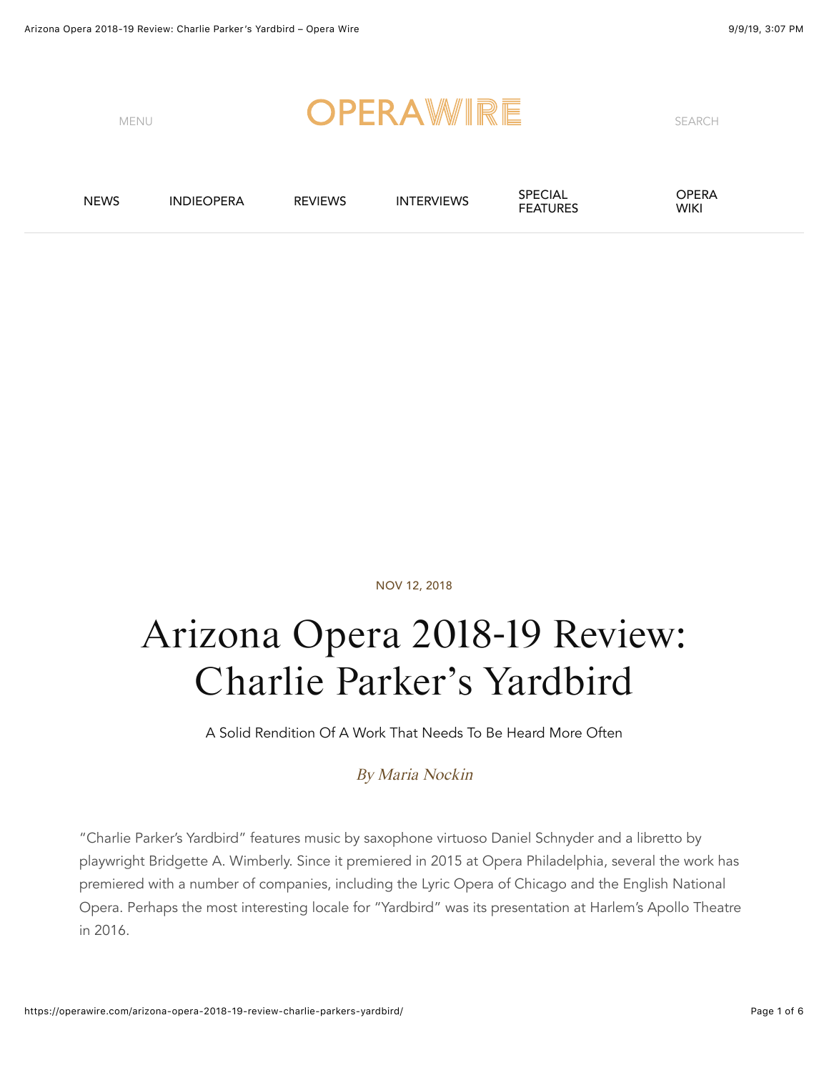

NOV 12, 2018

# Arizona Opera 2018-19 Review: Charlie Parker's Yardbird

A Solid Rendition Of A Work That Needs To Be Heard More Often

#### By [Maria Nockin](https://operawire.com/author/lorem-ipsum-12)

"Charlie Parker's Yardbird" features music by saxophone virtuoso Daniel Schnyder and a libretto by playwright Bridgette A. Wimberly. Since it premiered in 2015 at Opera Philadelphia, several the work has premiered with a number of companies, including the Lyric Opera of Chicago and the English National Opera. Perhaps the most interesting locale for "Yardbird" was its presentation at Harlem's Apollo Theatre in 2016.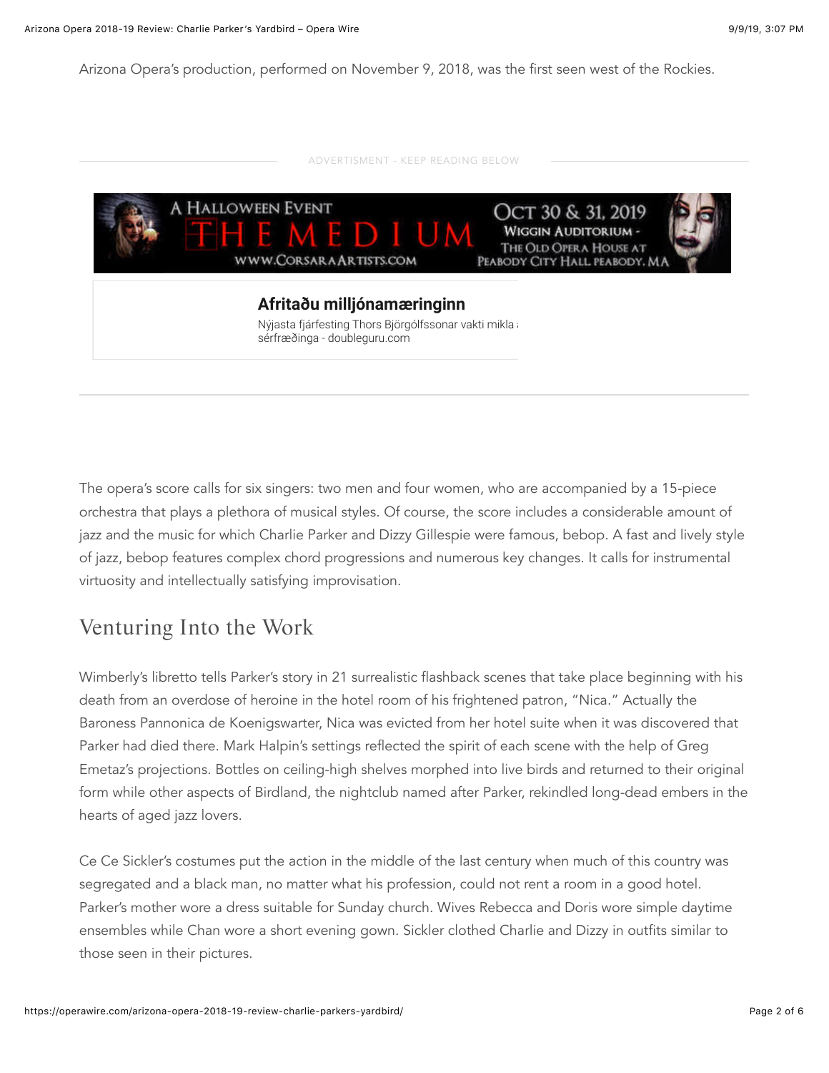Arizona Opera's production, performed on November 9, 2018, was the first seen west of the Rockies.

| A HALLOWEEN EVENT<br><b>HEEMED</b><br>WWW.CORSARA ARTISTS.COM                          | OCT 30 & 31, 2019<br><b>WIGGIN AUDITORIUM -</b><br>THE OLD OPERA HOUSE AT<br>PEABODY CITY HALL PEABODY, MA |
|----------------------------------------------------------------------------------------|------------------------------------------------------------------------------------------------------------|
| Afritaðu milljónamæringinn                                                             |                                                                                                            |
| Nýjasta fjárfesting Thors Björgólfssonar vakti mikla a<br>sérfræðinga - doubleguru.com |                                                                                                            |

The opera's score calls for six singers: two men and four women, who are accompanied by a 15-piece orchestra that plays a plethora of musical styles. Of course, the score includes a considerable amount of jazz and the music for which Charlie Parker and Dizzy Gillespie were famous, bebop. A fast and lively style of jazz, bebop features complex chord progressions and numerous key changes. It calls for instrumental virtuosity and intellectually satisfying improvisation.

### Venturing Into the Work

Wimberly's libretto tells Parker's story in 21 surrealistic flashback scenes that take place beginning with his death from an overdose of heroine in the hotel room of his frightened patron, "Nica." Actually the Baroness Pannonica de Koenigswarter, Nica was evicted from her hotel suite when it was discovered that Parker had died there. Mark Halpin's settings reflected the spirit of each scene with the help of Greg Emetaz's projections. Bottles on ceiling-high shelves morphed into live birds and returned to their original form while other aspects of Birdland, the nightclub named after Parker, rekindled long-dead embers in the hearts of aged jazz lovers.

Ce Ce Sickler's costumes put the action in the middle of the last century when much of this country was segregated and a black man, no matter what his profession, could not rent a room in a good hotel. Parker's mother wore a dress suitable for Sunday church. Wives Rebecca and Doris wore simple daytime ensembles while Chan wore a short evening gown. Sickler clothed Charlie and Dizzy in outfits similar to those seen in their pictures.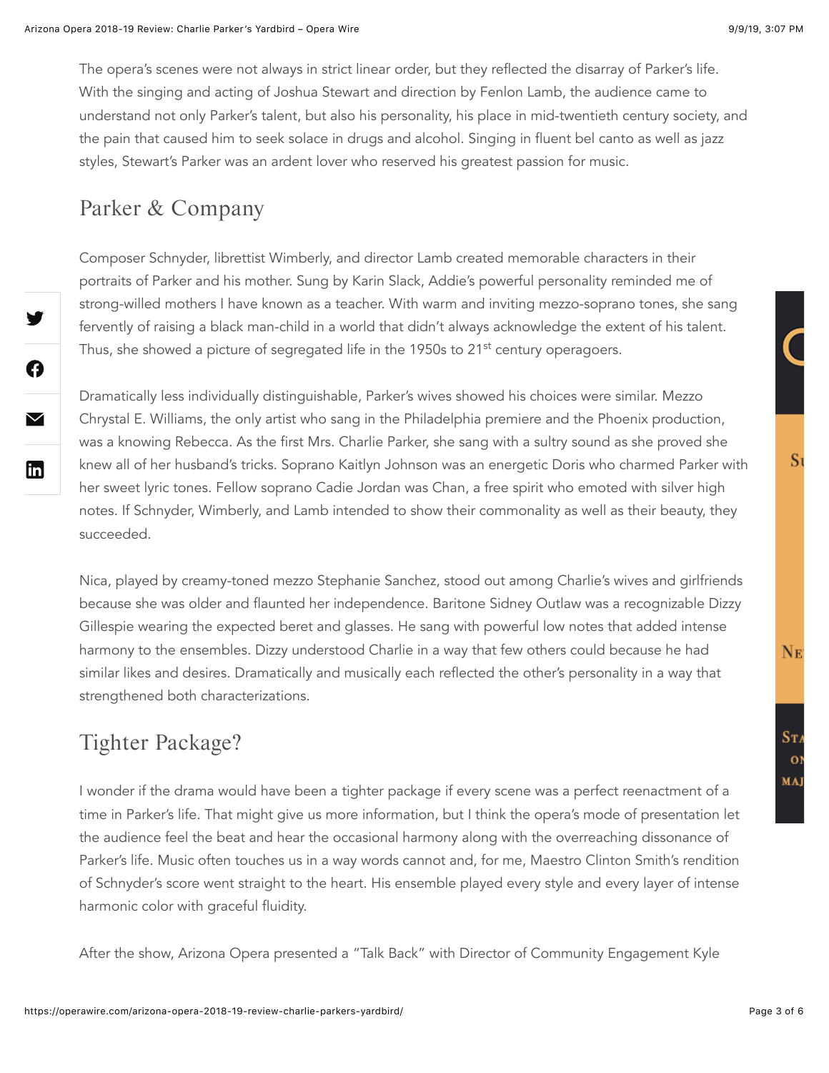The opera's scenes were not always in strict linear order, but they reflected the disarray of Parker's life. With the singing and acting of Joshua Stewart and direction by Fenlon Lamb, the audience came to understand not only Parker's talent, but also his personality, his place in mid-twentieth century society, and the pain that caused him to seek solace in drugs and alcohol. Singing in fluent bel canto as well as jazz styles, Stewart's Parker was an ardent lover who reserved his greatest passion for music.

### Parker & Company

V

A

 $\blacktriangledown$ 

 $\mathbf{lin}$ 

Composer Schnyder, librettist Wimberly, and director Lamb created memorable characters in their portraits of Parker and his mother. Sung by Karin Slack, Addie's powerful personality reminded me of strong-willed mothers I have known as a teacher. With warm and inviting mezzo-soprano tones, she sang fervently of raising a black man-child in a world that didn't always acknowledge the extent of his talent. Thus, she showed a picture of segregated life in the 1950s to 21<sup>st</sup> century operagoers.

Dramatically less individually distinguishable, Parker's wives showed his choices were similar. Mezzo Chrystal E. Williams, the only artist who sang in the Philadelphia premiere and the Phoenix production, was a knowing Rebecca. As the first Mrs. Charlie Parker, she sang with a sultry sound as she proved she knew all of her husband's tricks. Soprano Kaitlyn Johnson was an energetic Doris who charmed Parker with her sweet lyric tones. Fellow soprano Cadie Jordan was Chan, a free spirit who emoted with silver high notes. If Schnyder, Wimberly, and Lamb intended to show their commonality as well as their beauty, they succeeded.

Nica, played by creamy-toned mezzo Stephanie Sanchez, stood out among Charlie's wives and girlfriends because she was older and flaunted her independence. Baritone Sidney Outlaw was a recognizable Dizzy Gillespie wearing the expected beret and glasses. He sang with powerful low notes that added intense harmony to the ensembles. Dizzy understood Charlie in a way that few others could because he had similar likes and desires. Dramatically and musically each reflected the other's personality in a way that strengthened both characterizations.

## Tighter Package?

I wonder if the drama would have been a tighter package if every scene was a perfect reenactment of a time in Parker's life. That might give us more information, but I think the opera's mode of presentation let the audience feel the beat and hear the occasional harmony along with the overreaching dissonance of Parker's life. Music often touches us in a way words cannot and, for me, Maestro Clinton Smith's rendition of Schnyder's score went straight to the heart. His ensemble played every style and every layer of intense harmonic color with graceful fluidity.

After the show, Arizona Opera presented a "Talk Back" with Director of Community Engagement Kyle

S